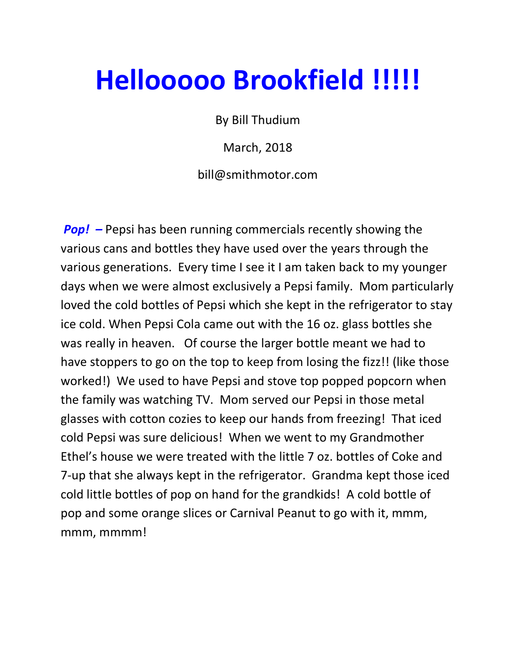## Hellooooo Brookfield !!!!!

By Bill Thudium

March, 2018

bill@smithmotor.com

**Pop!**  $-$  Pepsi has been running commercials recently showing the various cans and bottles they have used over the years through the various generations. Every time I see it I am taken back to my younger days when we were almost exclusively a Pepsi family. Mom particularly loved the cold bottles of Pepsi which she kept in the refrigerator to stay ice cold. When Pepsi Cola came out with the 16 oz. glass bottles she was really in heaven. Of course the larger bottle meant we had to have stoppers to go on the top to keep from losing the fizz!! (like those worked!) We used to have Pepsi and stove top popped popcorn when the family was watching TV. Mom served our Pepsi in those metal glasses with cotton cozies to keep our hands from freezing! That iced cold Pepsi was sure delicious! When we went to my Grandmother Ethel's house we were treated with the little 7 oz. bottles of Coke and 7-up that she always kept in the refrigerator. Grandma kept those iced cold little bottles of pop on hand for the grandkids! A cold bottle of pop and some orange slices or Carnival Peanut to go with it, mmm, mmm, mmmm!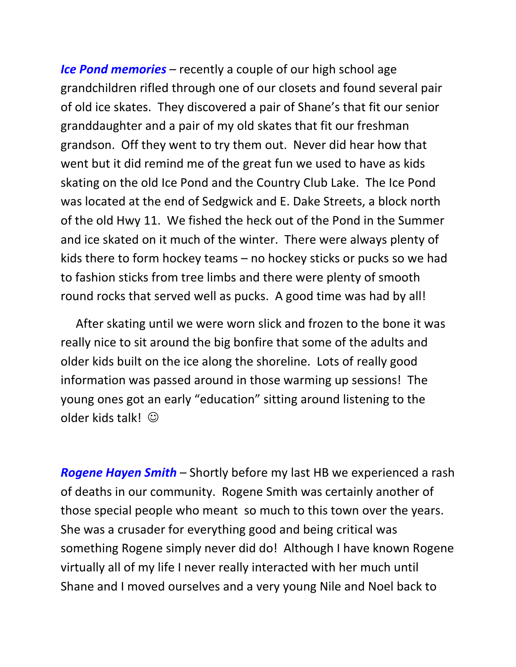Ice Pond memories – recently a couple of our high school age grandchildren rifled through one of our closets and found several pair of old ice skates. They discovered a pair of Shane's that fit our senior granddaughter and a pair of my old skates that fit our freshman grandson. Off they went to try them out. Never did hear how that went but it did remind me of the great fun we used to have as kids skating on the old Ice Pond and the Country Club Lake. The Ice Pond was located at the end of Sedgwick and E. Dake Streets, a block north of the old Hwy 11. We fished the heck out of the Pond in the Summer and ice skated on it much of the winter. There were always plenty of kids there to form hockey teams – no hockey sticks or pucks so we had to fashion sticks from tree limbs and there were plenty of smooth round rocks that served well as pucks. A good time was had by all!

 After skating until we were worn slick and frozen to the bone it was really nice to sit around the big bonfire that some of the adults and older kids built on the ice along the shoreline. Lots of really good information was passed around in those warming up sessions! The young ones got an early "education" sitting around listening to the older kids talk!  $\odot$ 

**Rogene Hayen Smith** – Shortly before my last HB we experienced a rash of deaths in our community. Rogene Smith was certainly another of those special people who meant so much to this town over the years. She was a crusader for everything good and being critical was something Rogene simply never did do! Although I have known Rogene virtually all of my life I never really interacted with her much until Shane and I moved ourselves and a very young Nile and Noel back to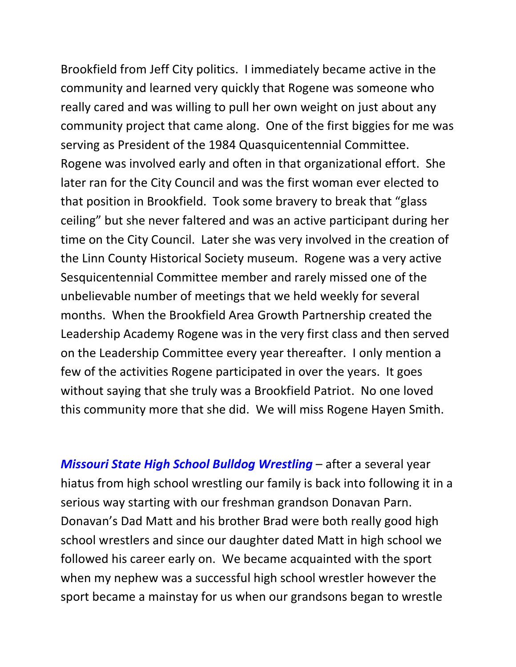Brookfield from Jeff City politics. I immediately became active in the community and learned very quickly that Rogene was someone who really cared and was willing to pull her own weight on just about any community project that came along. One of the first biggies for me was serving as President of the 1984 Quasquicentennial Committee. Rogene was involved early and often in that organizational effort. She later ran for the City Council and was the first woman ever elected to that position in Brookfield. Took some bravery to break that "glass ceiling" but she never faltered and was an active participant during her time on the City Council. Later she was very involved in the creation of the Linn County Historical Society museum. Rogene was a very active Sesquicentennial Committee member and rarely missed one of the unbelievable number of meetings that we held weekly for several months. When the Brookfield Area Growth Partnership created the Leadership Academy Rogene was in the very first class and then served on the Leadership Committee every year thereafter. I only mention a few of the activities Rogene participated in over the years. It goes without saying that she truly was a Brookfield Patriot. No one loved this community more that she did. We will miss Rogene Hayen Smith.

Missouri State High School Bulldog Wrestling - after a several year hiatus from high school wrestling our family is back into following it in a serious way starting with our freshman grandson Donavan Parn. Donavan's Dad Matt and his brother Brad were both really good high school wrestlers and since our daughter dated Matt in high school we followed his career early on. We became acquainted with the sport when my nephew was a successful high school wrestler however the sport became a mainstay for us when our grandsons began to wrestle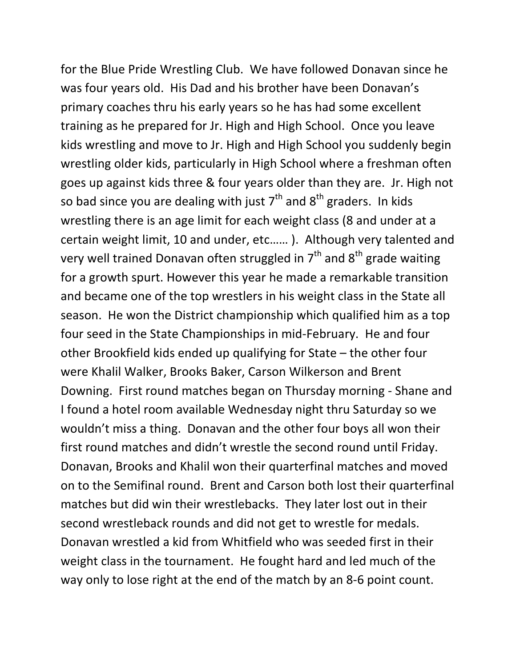for the Blue Pride Wrestling Club. We have followed Donavan since he was four years old. His Dad and his brother have been Donavan's primary coaches thru his early years so he has had some excellent training as he prepared for Jr. High and High School. Once you leave kids wrestling and move to Jr. High and High School you suddenly begin wrestling older kids, particularly in High School where a freshman often goes up against kids three & four years older than they are. Jr. High not so bad since you are dealing with just  $7<sup>th</sup>$  and  $8<sup>th</sup>$  graders. In kids wrestling there is an age limit for each weight class (8 and under at a certain weight limit, 10 and under, etc…… ). Although very talented and very well trained Donavan often struggled in  $7<sup>th</sup>$  and  $8<sup>th</sup>$  grade waiting for a growth spurt. However this year he made a remarkable transition and became one of the top wrestlers in his weight class in the State all season. He won the District championship which qualified him as a top four seed in the State Championships in mid-February. He and four other Brookfield kids ended up qualifying for State – the other four were Khalil Walker, Brooks Baker, Carson Wilkerson and Brent Downing. First round matches began on Thursday morning - Shane and I found a hotel room available Wednesday night thru Saturday so we wouldn't miss a thing. Donavan and the other four boys all won their first round matches and didn't wrestle the second round until Friday. Donavan, Brooks and Khalil won their quarterfinal matches and moved on to the Semifinal round. Brent and Carson both lost their quarterfinal matches but did win their wrestlebacks. They later lost out in their second wrestleback rounds and did not get to wrestle for medals. Donavan wrestled a kid from Whitfield who was seeded first in their weight class in the tournament. He fought hard and led much of the way only to lose right at the end of the match by an 8-6 point count.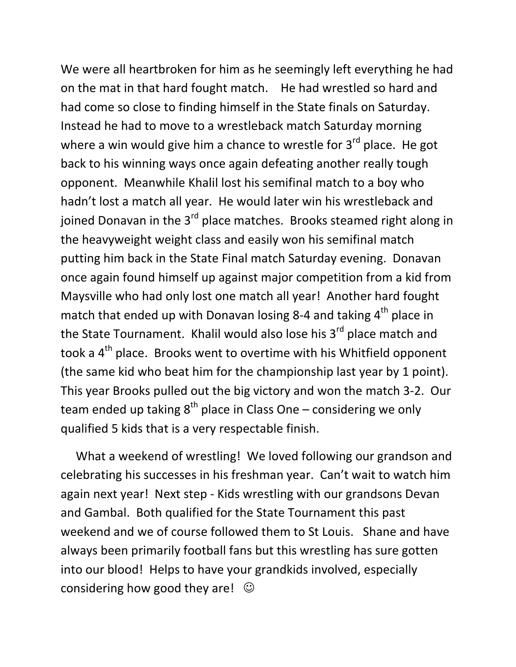We were all heartbroken for him as he seemingly left everything he had on the mat in that hard fought match. He had wrestled so hard and had come so close to finding himself in the State finals on Saturday. Instead he had to move to a wrestleback match Saturday morning where a win would give him a chance to wrestle for  $3<sup>rd</sup>$  place. He got back to his winning ways once again defeating another really tough opponent. Meanwhile Khalil lost his semifinal match to a boy who hadn't lost a match all year. He would later win his wrestleback and joined Donavan in the 3<sup>rd</sup> place matches. Brooks steamed right along in the heavyweight weight class and easily won his semifinal match putting him back in the State Final match Saturday evening. Donavan once again found himself up against major competition from a kid from Maysville who had only lost one match all year! Another hard fought match that ended up with Donavan losing 8-4 and taking  $4<sup>th</sup>$  place in the State Tournament. Khalil would also lose his 3<sup>rd</sup> place match and took a 4<sup>th</sup> place. Brooks went to overtime with his Whitfield opponent (the same kid who beat him for the championship last year by 1 point). This year Brooks pulled out the big victory and won the match 3-2. Our team ended up taking  $8^{th}$  place in Class One – considering we only qualified 5 kids that is a very respectable finish.

 What a weekend of wrestling! We loved following our grandson and celebrating his successes in his freshman year. Can't wait to watch him again next year! Next step - Kids wrestling with our grandsons Devan and Gambal. Both qualified for the State Tournament this past weekend and we of course followed them to St Louis. Shane and have always been primarily football fans but this wrestling has sure gotten into our blood! Helps to have your grandkids involved, especially considering how good they are!  $\odot$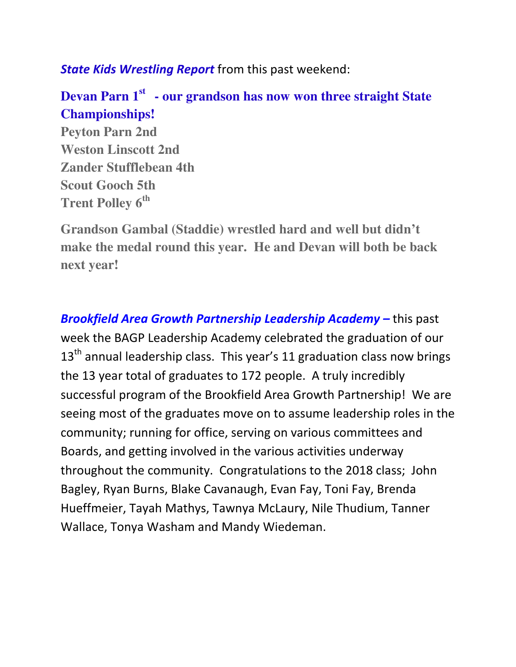State Kids Wrestling Report from this past weekend:

## **Devan Parn 1st - our grandson has now won three straight State Championships!**

**Peyton Parn 2nd Weston Linscott 2nd Zander Stufflebean 4th Scout Gooch 5th Trent Polley 6th**

**Grandson Gambal (Staddie) wrestled hard and well but didn't make the medal round this year. He and Devan will both be back next year!** 

Brookfield Area Growth Partnership Leadership Academy – this past week the BAGP Leadership Academy celebrated the graduation of our  $13<sup>th</sup>$  annual leadership class. This year's 11 graduation class now brings the 13 year total of graduates to 172 people. A truly incredibly successful program of the Brookfield Area Growth Partnership! We are seeing most of the graduates move on to assume leadership roles in the community; running for office, serving on various committees and Boards, and getting involved in the various activities underway throughout the community. Congratulations to the 2018 class; John Bagley, Ryan Burns, Blake Cavanaugh, Evan Fay, Toni Fay, Brenda Hueffmeier, Tayah Mathys, Tawnya McLaury, Nile Thudium, Tanner Wallace, Tonya Washam and Mandy Wiedeman.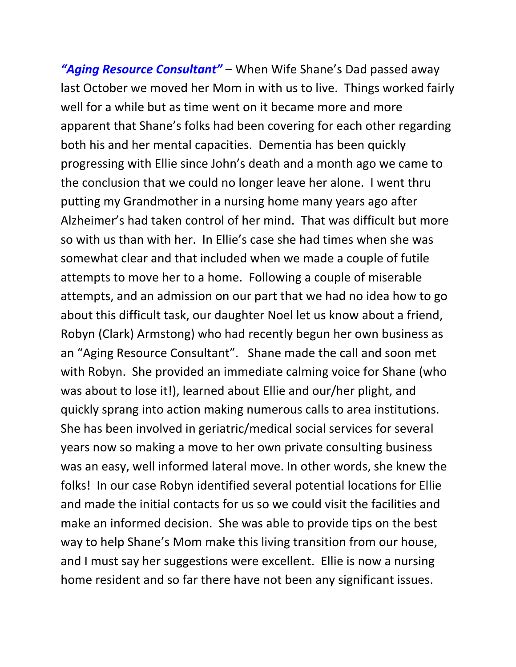"Aging Resource Consultant" – When Wife Shane's Dad passed away last October we moved her Mom in with us to live. Things worked fairly well for a while but as time went on it became more and more apparent that Shane's folks had been covering for each other regarding both his and her mental capacities. Dementia has been quickly progressing with Ellie since John's death and a month ago we came to the conclusion that we could no longer leave her alone. I went thru putting my Grandmother in a nursing home many years ago after Alzheimer's had taken control of her mind. That was difficult but more so with us than with her. In Ellie's case she had times when she was somewhat clear and that included when we made a couple of futile attempts to move her to a home. Following a couple of miserable attempts, and an admission on our part that we had no idea how to go about this difficult task, our daughter Noel let us know about a friend, Robyn (Clark) Armstong) who had recently begun her own business as an "Aging Resource Consultant". Shane made the call and soon met with Robyn. She provided an immediate calming voice for Shane (who was about to lose it!), learned about Ellie and our/her plight, and quickly sprang into action making numerous calls to area institutions. She has been involved in geriatric/medical social services for several years now so making a move to her own private consulting business was an easy, well informed lateral move. In other words, she knew the folks! In our case Robyn identified several potential locations for Ellie and made the initial contacts for us so we could visit the facilities and make an informed decision. She was able to provide tips on the best way to help Shane's Mom make this living transition from our house, and I must say her suggestions were excellent. Ellie is now a nursing home resident and so far there have not been any significant issues.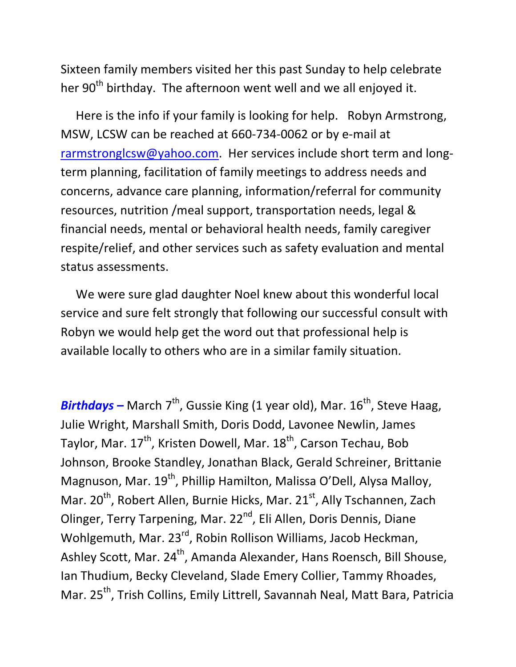Sixteen family members visited her this past Sunday to help celebrate her 90<sup>th</sup> birthday. The afternoon went well and we all enjoyed it.

 Here is the info if your family is looking for help. Robyn Armstrong, MSW, LCSW can be reached at 660-734-0062 or by e-mail at rarmstronglcsw@yahoo.com. Her services include short term and longterm planning, facilitation of family meetings to address needs and concerns, advance care planning, information/referral for community resources, nutrition /meal support, transportation needs, legal & financial needs, mental or behavioral health needs, family caregiver respite/relief, and other services such as safety evaluation and mental status assessments.

 We were sure glad daughter Noel knew about this wonderful local service and sure felt strongly that following our successful consult with Robyn we would help get the word out that professional help is available locally to others who are in a similar family situation.

**Birthdays** – March  $7<sup>th</sup>$ , Gussie King (1 year old), Mar. 16<sup>th</sup>, Steve Haag, Julie Wright, Marshall Smith, Doris Dodd, Lavonee Newlin, James Taylor, Mar. 17<sup>th</sup>, Kristen Dowell, Mar. 18<sup>th</sup>, Carson Techau, Bob Johnson, Brooke Standley, Jonathan Black, Gerald Schreiner, Brittanie Magnuson, Mar. 19<sup>th</sup>, Phillip Hamilton, Malissa O'Dell, Alysa Malloy, Mar. 20<sup>th</sup>, Robert Allen, Burnie Hicks, Mar. 21<sup>st</sup>, Ally Tschannen, Zach Olinger, Terry Tarpening, Mar. 22<sup>nd</sup>, Eli Allen, Doris Dennis, Diane Wohlgemuth, Mar. 23<sup>rd</sup>, Robin Rollison Williams, Jacob Heckman, Ashley Scott, Mar. 24<sup>th</sup>, Amanda Alexander, Hans Roensch, Bill Shouse, Ian Thudium, Becky Cleveland, Slade Emery Collier, Tammy Rhoades, Mar. 25<sup>th</sup>, Trish Collins, Emily Littrell, Savannah Neal, Matt Bara, Patricia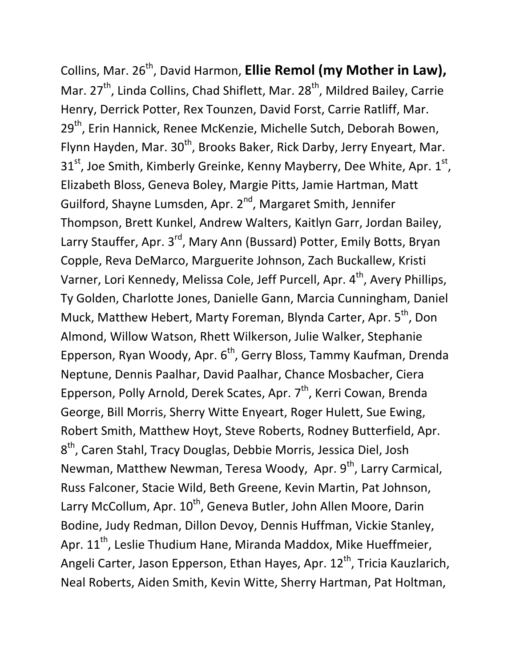Collins, Mar. 26<sup>th</sup>, David Harmon, Ellie Remol (my Mother in Law), Mar.  $27<sup>th</sup>$ , Linda Collins, Chad Shiflett, Mar.  $28<sup>th</sup>$ , Mildred Bailey, Carrie Henry, Derrick Potter, Rex Tounzen, David Forst, Carrie Ratliff, Mar. 29<sup>th</sup>, Erin Hannick, Renee McKenzie, Michelle Sutch, Deborah Bowen, Flynn Hayden, Mar. 30<sup>th</sup>, Brooks Baker, Rick Darby, Jerry Enyeart, Mar.  $31^{\rm st}$ , Joe Smith, Kimberly Greinke, Kenny Mayberry, Dee White, Apr.  $1^{\rm st}$ , Elizabeth Bloss, Geneva Boley, Margie Pitts, Jamie Hartman, Matt Guilford, Shayne Lumsden, Apr. 2<sup>nd</sup>, Margaret Smith, Jennifer Thompson, Brett Kunkel, Andrew Walters, Kaitlyn Garr, Jordan Bailey, Larry Stauffer, Apr. 3<sup>rd</sup>, Mary Ann (Bussard) Potter, Emily Botts, Bryan Copple, Reva DeMarco, Marguerite Johnson, Zach Buckallew, Kristi Varner, Lori Kennedy, Melissa Cole, Jeff Purcell, Apr. 4<sup>th</sup>, Avery Phillips, Ty Golden, Charlotte Jones, Danielle Gann, Marcia Cunningham, Daniel Muck, Matthew Hebert, Marty Foreman, Blynda Carter, Apr. 5<sup>th</sup>, Don Almond, Willow Watson, Rhett Wilkerson, Julie Walker, Stephanie Epperson, Ryan Woody, Apr. 6<sup>th</sup>, Gerry Bloss, Tammy Kaufman, Drenda Neptune, Dennis Paalhar, David Paalhar, Chance Mosbacher, Ciera Epperson, Polly Arnold, Derek Scates, Apr. 7<sup>th</sup>, Kerri Cowan, Brenda George, Bill Morris, Sherry Witte Enyeart, Roger Hulett, Sue Ewing, Robert Smith, Matthew Hoyt, Steve Roberts, Rodney Butterfield, Apr. 8<sup>th</sup>, Caren Stahl, Tracy Douglas, Debbie Morris, Jessica Diel, Josh Newman, Matthew Newman, Teresa Woody, Apr. 9<sup>th</sup>, Larry Carmical, Russ Falconer, Stacie Wild, Beth Greene, Kevin Martin, Pat Johnson, Larry McCollum, Apr. 10<sup>th</sup>, Geneva Butler, John Allen Moore, Darin Bodine, Judy Redman, Dillon Devoy, Dennis Huffman, Vickie Stanley, Apr.  $11^{th}$ , Leslie Thudium Hane, Miranda Maddox, Mike Hueffmeier, Angeli Carter, Jason Epperson, Ethan Hayes, Apr. 12<sup>th</sup>, Tricia Kauzlarich, Neal Roberts, Aiden Smith, Kevin Witte, Sherry Hartman, Pat Holtman,